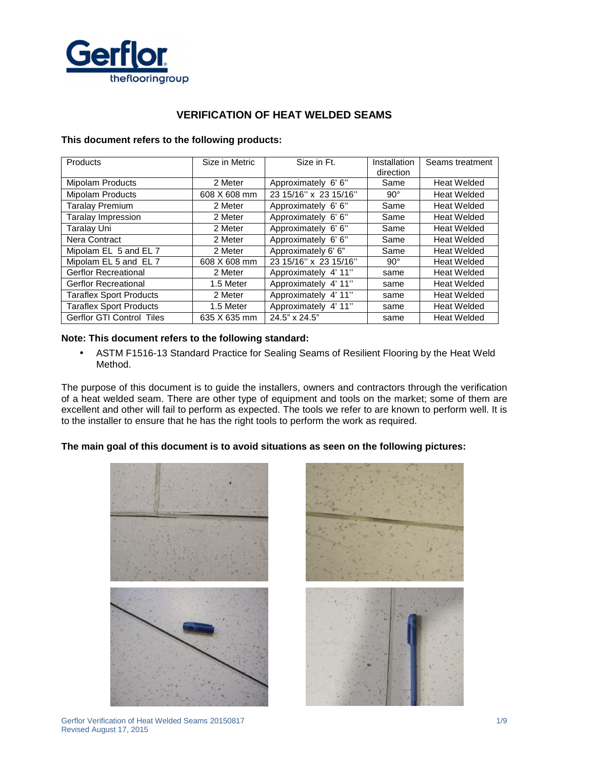

#### **This document refers to the following products:**

| Products                         | Size in Metric | Size in Ft.           | Installation<br>direction | Seams treatment    |
|----------------------------------|----------------|-----------------------|---------------------------|--------------------|
| <b>Mipolam Products</b>          | 2 Meter        | Approximately 6'6"    | Same                      | <b>Heat Welded</b> |
| <b>Mipolam Products</b>          | 608 X 608 mm   | 23 15/16" x 23 15/16" | $90^\circ$                | <b>Heat Welded</b> |
| <b>Taralay Premium</b>           | 2 Meter        | Approximately 6'6"    | Same                      | Heat Welded        |
| Taralay Impression               | 2 Meter        | Approximately 6'6"    | Same                      | Heat Welded        |
| Taralay Uni                      | 2 Meter        | Approximately 6' 6"   | Same                      | Heat Welded        |
| Nera Contract                    | 2 Meter        | Approximately 6' 6"   | Same                      | Heat Welded        |
| Mipolam EL 5 and EL 7            | 2 Meter        | Approximately 6' 6"   | Same                      | Heat Welded        |
| Mipolam EL 5 and EL 7            | 608 X 608 mm   | 23 15/16" x 23 15/16" | $90^\circ$                | <b>Heat Welded</b> |
| <b>Gerflor Recreational</b>      | 2 Meter        | Approximately 4' 11"  | same                      | <b>Heat Welded</b> |
| <b>Gerflor Recreational</b>      | 1.5 Meter      | Approximately 4' 11"  | same                      | Heat Welded        |
| <b>Taraflex Sport Products</b>   | 2 Meter        | Approximately 4' 11"  | same                      | Heat Welded        |
| <b>Taraflex Sport Products</b>   | 1.5 Meter      | Approximately 4' 11"  | same                      | <b>Heat Welded</b> |
| <b>Gerflor GTI Control Tiles</b> | 635 X 635 mm   | 24.5" x 24.5"         | same                      | <b>Heat Welded</b> |

#### **Note: This document refers to the following standard:**

• ASTM F1516-13 Standard Practice for Sealing Seams of Resilient Flooring by the Heat Weld Method.

The purpose of this document is to guide the installers, owners and contractors through the verification of a heat welded seam. There are other type of equipment and tools on the market; some of them are excellent and other will fail to perform as expected. The tools we refer to are known to perform well. It is to the installer to ensure that he has the right tools to perform the work as required.

**The main goal of this document is to avoid situations as seen on the following pictures:** 





Gerflor Verification of Heat Welded Seams 20150817 1/9 Revised August 17, 2015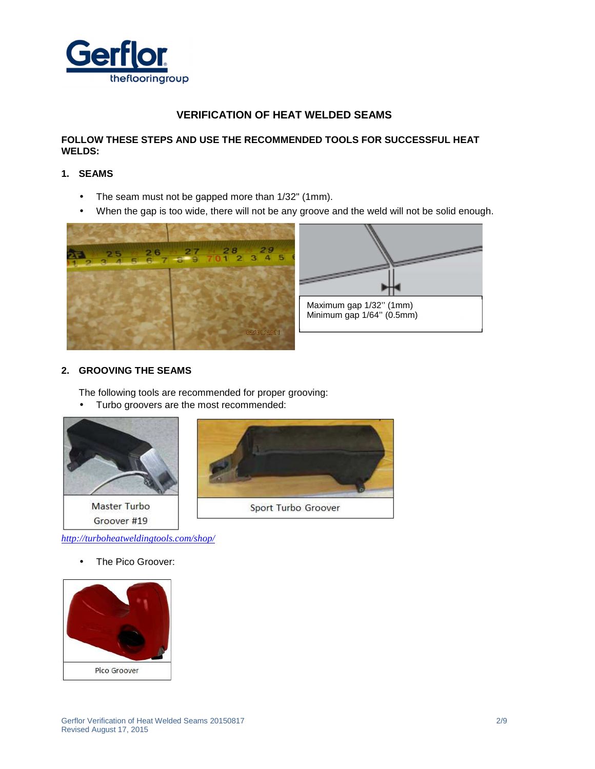

#### **FOLLOW THESE STEPS AND USE THE RECOMMENDED TOOLS FOR SUCCESSFUL HEAT WELDS:**

### **1. SEAMS**

- The seam must not be gapped more than 1/32" (1mm).
- When the gap is too wide, there will not be any groove and the weld will not be solid enough.



#### **2. GROOVING THE SEAMS**

The following tools are recommended for proper grooving:

• Turbo groovers are the most recommended:





Groover #19

*http://turboheatweldingtools.com/shop/*

• The Pico Groover:

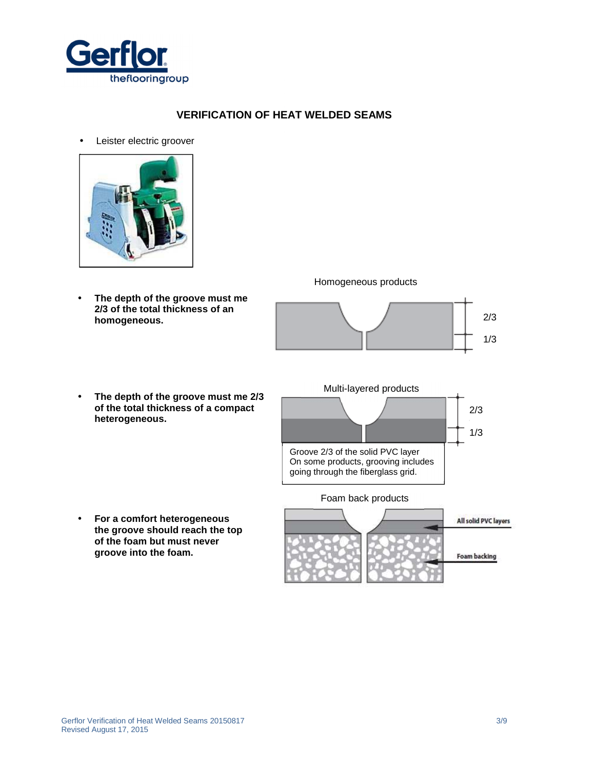

Leister electric groover



• **The depth of the groove must me 2/3 of the total thickness of an homogeneous.** 





• **The depth of the groove must me 2/3 of the total thickness of a compact heterogeneous.** 





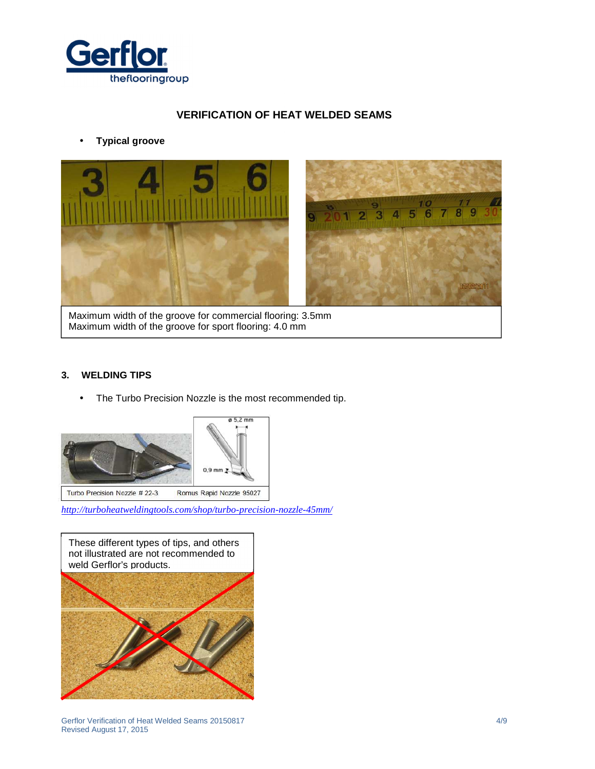

### • **Typical groove**



Maximum width of the groove for commercial flooring: 3.5mm Maximum width of the groove for sport flooring: 4.0 mm

#### **3. WELDING TIPS**

• The Turbo Precision Nozzle is the most recommended tip.



*http://turboheatweldingtools.com/shop/turbo-precision-nozzle-45mm/*

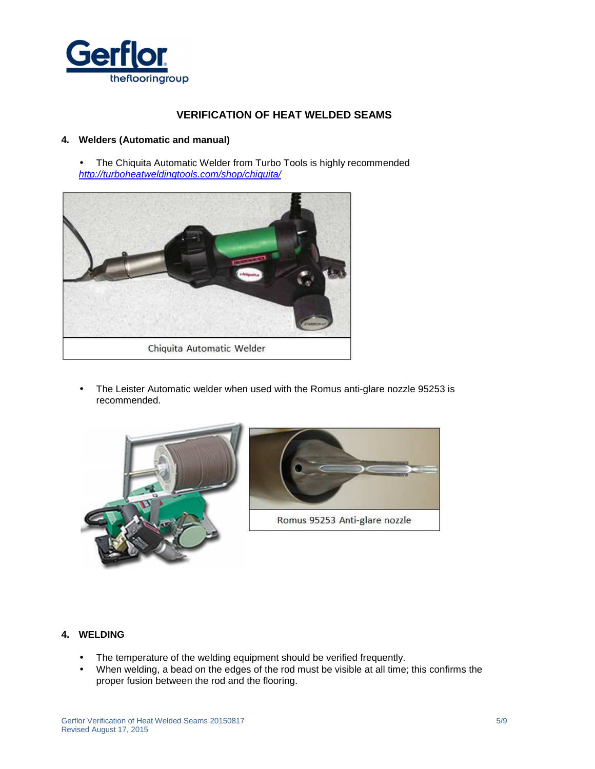

#### **4. Welders (Automatic and manual)**

• The Chiquita Automatic Welder from Turbo Tools is highly recommended http://turboheatweldingtools.com/shop/chiquita/



• The Leister Automatic welder when used with the Romus anti-glare nozzle 95253 is recommended.





#### **4. WELDING**

- The temperature of the welding equipment should be verified frequently.
- When welding, a bead on the edges of the rod must be visible at all time; this confirms the proper fusion between the rod and the flooring.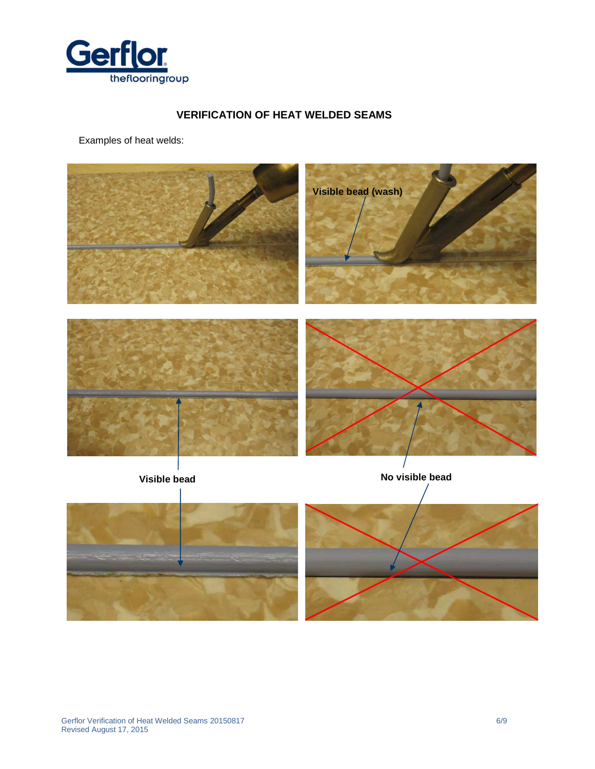

Examples of heat welds:

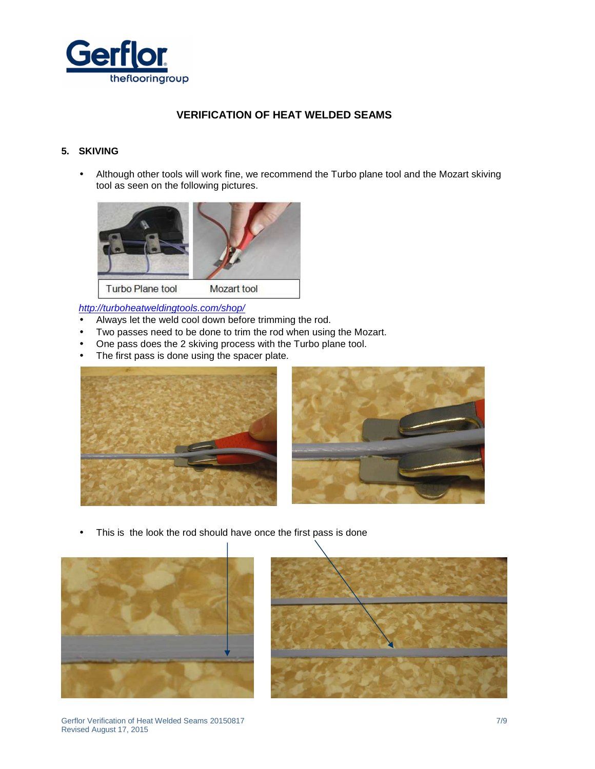

#### **5. SKIVING**

• Although other tools will work fine, we recommend the Turbo plane tool and the Mozart skiving tool as seen on the following pictures.



### http://turboheatweldingtools.com/shop/

- Always let the weld cool down before trimming the rod.
- Two passes need to be done to trim the rod when using the Mozart.
- One pass does the 2 skiving process with the Turbo plane tool.
- The first pass is done using the spacer plate.



This is the look the rod should have once the first pass is done





Gerflor Verification of Heat Welded Seams 20150817 **7/9 120 and 2016** 7/9 Revised August 17, 2015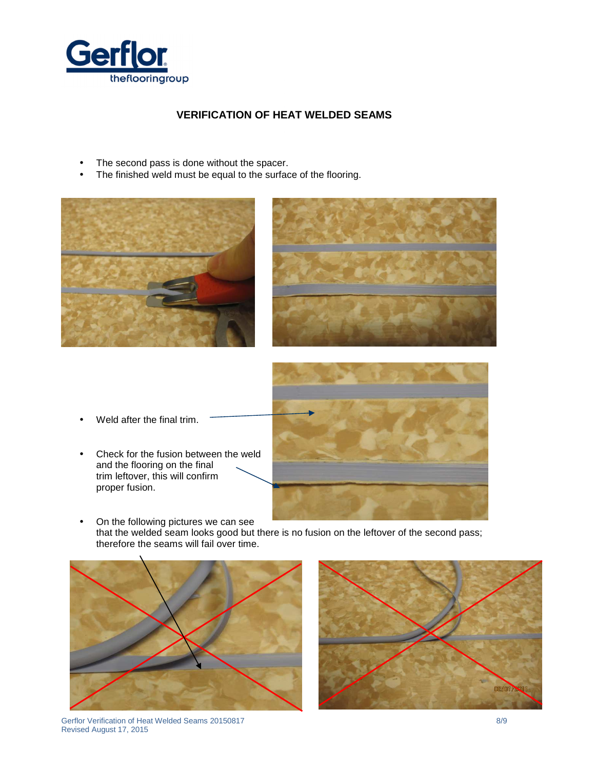

- The second pass is done without the spacer.
- The finished weld must be equal to the surface of the flooring.





- 
- Weld after the final trim.
- Check for the fusion between the weld and the flooring on the final trim leftover, this will confirm proper fusion.
- On the following pictures we can see that the welded seam looks good but there is no fusion on the leftover of the second pass; therefore the seams will fail over time.





Gerflor Verification of Heat Welded Seams 20150817 8/9 Revised August 17, 2015